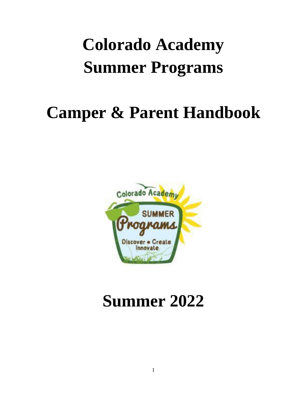# **Colorado Academy Summer Programs**

## **Camper & Parent Handbook**



## **Summer 2022**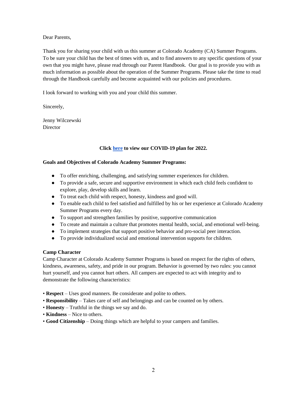Dear Parents,

Thank you for sharing your child with us this summer at Colorado Academy (CA) Summer Programs. To be sure your child has the best of times with us, and to find answers to any specific questions of your own that you might have, please read through our Parent Handbook. Our goal is to provide you with as much information as possible about the operation of the Summer Programs. Please take the time to read through the Handbook carefully and become acquainted with our policies and procedures.

I look forward to working with you and your child this summer.

Sincerely,

Jenny Wilczewski Director

#### **Click [here](https://www.coloradoacademysummer.org/covid-19-response/) to view our COVID-19 plan for 2022.**

#### **Goals and Objectives of Colorado Academy Summer Programs:**

- To offer enriching, challenging, and satisfying summer experiences for children.
- To provide a safe, secure and supportive environment in which each child feels confident to explore, play, develop skills and learn.
- To treat each child with respect, honesty, kindness and good will.
- To enable each child to feel satisfied and fulfilled by his or her experience at Colorado Academy Summer Programs every day.
- To support and strengthen families by positive, supportive communication
- To create and maintain a culture that promotes mental health, social, and emotional well-being.
- To implement strategies that support positive behavior and pro-social peer interaction.
- To provide individualized social and emotional intervention supports for children.

#### **Camp Character**

Camp Character at Colorado Academy Summer Programs is based on respect for the rights of others, kindness, awareness, safety, and pride in our program. Behavior is governed by two rules: you cannot hurt yourself, and you cannot hurt others. All campers are expected to act with integrity and to demonstrate the following characteristics:

- **Respect**  Uses good manners. Be considerate and polite to others.
- **Responsibility**  Takes care of self and belongings and can be counted on by others.
- **Honesty**  Truthful in the things we say and do.
- **Kindness**  Nice to others.
- **Good Citizenship**  Doing things which are helpful to your campers and families.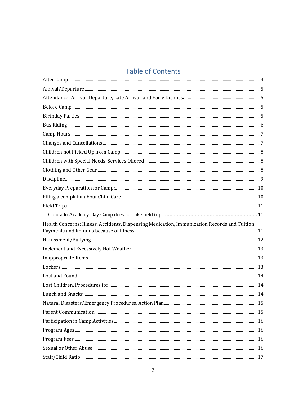## **Table of Contents**

| Health Concerns: Illness, Accidents, Dispensing Medication, Immunization Records and Tuition |  |
|----------------------------------------------------------------------------------------------|--|
|                                                                                              |  |
|                                                                                              |  |
|                                                                                              |  |
|                                                                                              |  |
|                                                                                              |  |
|                                                                                              |  |
|                                                                                              |  |
|                                                                                              |  |
|                                                                                              |  |
|                                                                                              |  |
|                                                                                              |  |
|                                                                                              |  |
|                                                                                              |  |
|                                                                                              |  |
|                                                                                              |  |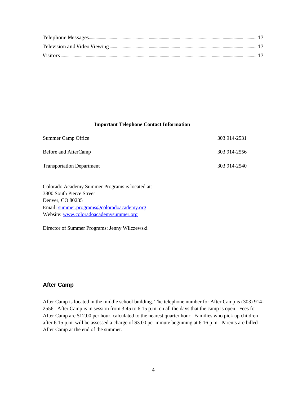#### **Important Telephone Contact Information**

| Summer Camp Office               | 303 914-2531 |
|----------------------------------|--------------|
| Before and AfterCamp             | 303 914-2556 |
| <b>Transportation Department</b> | 303 914-2540 |

Colorado Academy Summer Programs is located at: 3800 South Pierce Street Denver, CO 80235 Email: [summer.programs@coloradoacademy.org](mailto:summer.programs@coloradoacademy.org) Website: [www.coloradoacademysummer.org](http://www.coloradoacademysummer.org/)

Director of Summer Programs: Jenny Wilczewski

#### <span id="page-3-0"></span>**After Camp**

After Camp is located in the middle school building. The telephone number for After Camp is (303) 914- 2556. After Camp is in session from 3:45 to 6:15 p.m. on all the days that the camp is open. Fees for After Camp are \$12.00 per hour, calculated to the nearest quarter hour. Families who pick up children after 6:15 p.m. will be assessed a charge of \$3.00 per minute beginning at 6:16 p.m. Parents are billed After Camp at the end of the summer.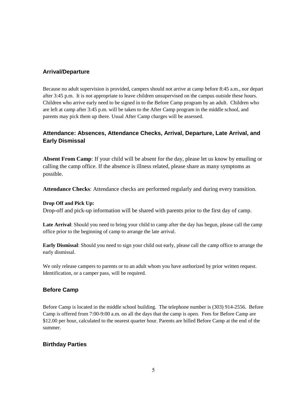## <span id="page-4-0"></span>**Arrival/Departure**

Because no adult supervision is provided, campers should not arrive at camp before 8:45 a.m., nor depart after 3:45 p.m. It is not appropriate to leave children unsupervised on the campus outside these hours. Children who arrive early need to be signed in to the Before Camp program by an adult. Children who are left at camp after 3:45 p.m. will be taken to the After Camp program in the middle school, and parents may pick them up there. Usual After Camp charges will be assessed.

## <span id="page-4-1"></span>**Attendance: Absences, Attendance Checks, Arrival, Departure, Late Arrival, and Early Dismissal**

**Absent From Camp**: If your child will be absent for the day, please let us know by emailing or calling the camp office. If the absence is illness related, please share as many symptoms as possible.

**Attendance Checks**: Attendance checks are performed regularly and during every transition.

#### **Drop Off and Pick Up:**

Drop-off and pick-up information will be shared with parents prior to the first day of camp.

Late Arrival: Should you need to bring your child to camp after the day has begun, please call the camp office prior to the beginning of camp to arrange the late arrival.

**Early Dismissal**: Should you need to sign your child out early, please call the camp office to arrange the early dismissal.

We only release campers to parents or to an adult whom you have authorized by prior written request. Identification, or a camper pass, will be required.

## <span id="page-4-2"></span>**Before Camp**

Before Camp is located in the middle school building. The telephone number is (303) 914-2556. Before Camp is offered from 7:00-9:00 a.m. on all the days that the camp is open. Fees for Before Camp are \$12.00 per hour, calculated to the nearest quarter hour. Parents are billed Before Camp at the end of the summer.

## <span id="page-4-3"></span>**Birthday Parties**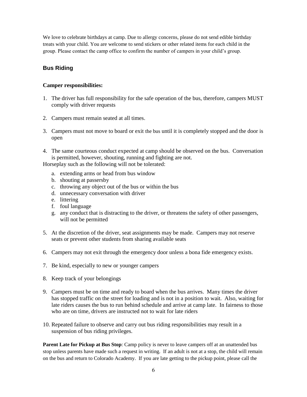We love to celebrate birthdays at camp. Due to allergy concerns, please do not send edible birthday treats with your child. You are welcome to send stickers or other related items for each child in the group. Please contact the camp office to confirm the number of campers in your child's group.

## <span id="page-5-0"></span>**Bus Riding**

### **Camper responsibilities:**

- 1. The driver has full responsibility for the safe operation of the bus, therefore, campers MUST comply with driver requests
- 2. Campers must remain seated at all times.
- 3. Campers must not move to board or exit the bus until it is completely stopped and the door is open
- 4. The same courteous conduct expected at camp should be observed on the bus. Conversation is permitted, however, shouting, running and fighting are not.

Horseplay such as the following will not be tolerated:

- a. extending arms or head from bus window
- b. shouting at passersby
- c. throwing any object out of the bus or within the bus
- d. unnecessary conversation with driver
- e. littering
- f. foul language
- g. any conduct that is distracting to the driver, or threatens the safety of other passengers, will not be permitted
- 5. At the discretion of the driver, seat assignments may be made. Campers may not reserve seats or prevent other students from sharing available seats
- 6. Campers may not exit through the emergency door unless a bona fide emergency exists.
- 7. Be kind, especially to new or younger campers
- 8. Keep track of your belongings
- 9. Campers must be on time and ready to board when the bus arrives. Many times the driver has stopped traffic on the street for loading and is not in a position to wait. Also, waiting for late riders causes the bus to run behind schedule and arrive at camp late. In fairness to those who are on time, drivers are instructed not to wait for late riders
- 10. Repeated failure to observe and carry out bus riding responsibilities may result in a suspension of bus riding privileges.

**Parent Late for Pickup at Bus Stop**: Camp policy is never to leave campers off at an unattended bus stop unless parents have made such a request in writing. If an adult is not at a stop, the child will remain on the bus and return to Colorado Academy. If you are late getting to the pickup point, please call the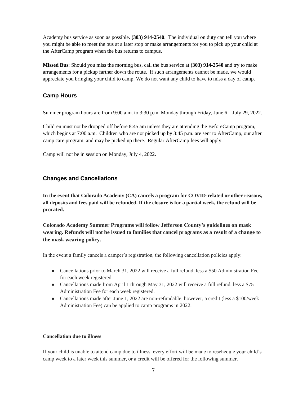Academy bus service as soon as possible. **(303) 914-2540**. The individual on duty can tell you where you might be able to meet the bus at a later stop or make arrangements for you to pick up your child at the AfterCamp program when the bus returns to campus.

**Missed Bus**: Should you miss the morning bus, call the bus service at **(303) 914-2540** and try to make arrangements for a pickup farther down the route. If such arrangements cannot be made, we would appreciate you bringing your child to camp. We do not want any child to have to miss a day of camp.

## <span id="page-6-0"></span>**Camp Hours**

Summer program hours are from 9:00 a.m. to 3:30 p.m. Monday through Friday, June 6 – July 29, 2022.

Children must not be dropped off before 8:45 am unless they are attending the BeforeCamp program, which begins at 7:00 a.m. Children who are not picked up by 3:45 p.m. are sent to AfterCamp, our after camp care program, and may be picked up there. Regular AfterCamp fees will apply.

Camp will not be in session on Monday, July 4, 2022.

## <span id="page-6-1"></span>**Changes and Cancellations**

**In the event that Colorado Academy (CA) cancels a program for COVID-related or other reasons, all deposits and fees paid will be refunded. If the closure is for a partial week, the refund will be prorated.** 

**Colorado Academy Summer Programs will follow Jefferson County's guidelines on mask wearing. Refunds will not be issued to families that cancel programs as a result of a change to the mask wearing policy.** 

In the event a family cancels a camper's registration, the following cancellation policies apply:

- Cancellations prior to March 31, 2022 will receive a full refund, less a \$50 Administration Fee for each week registered.
- Cancellations made from April 1 through May 31, 2022 will receive a full refund, less a \$75 Administration Fee for each week registered.
- Cancellations made after June 1, 2022 are non-refundable; however, a credit (less a \$100/week Administration Fee) can be applied to camp programs in 2022.

#### **Cancellation due to illness**

If your child is unable to attend camp due to illness, every effort will be made to reschedule your child's camp week to a later week this summer, or a credit will be offered for the following summer.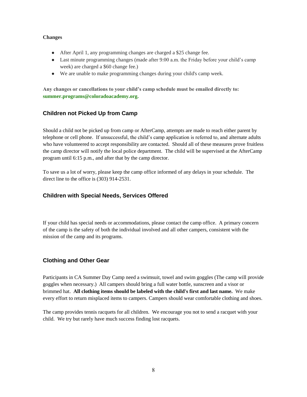#### **Changes**

- After April 1, any programming changes are charged a \$25 change fee.
- Last minute programming changes (made after 9:00 a.m. the Friday before your child's camp week) are charged a \$60 change fee.)
- We are unable to make programming changes during your child's camp week.

**Any changes or cancellations to your child's camp schedule must be emailed directly to: summer.programs@coloradoacademy.org.**

## <span id="page-7-0"></span>**Children not Picked Up from Camp**

Should a child not be picked up from camp or AfterCamp, attempts are made to reach either parent by telephone or cell phone.If unsuccessful, the child's camp application is referred to, and alternate adults who have volunteered to accept responsibility are contacted.Should all of these measures prove fruitless the camp director will notify the local police department.The child will be supervised at the AfterCamp program until 6:15 p.m., and after that by the camp director.

To save us a lot of worry, please keep the camp office informed of any delays in your schedule. The direct line to the office is (303) 914-2531.

## <span id="page-7-1"></span>**Children with Special Needs, Services Offered**

If your child has special needs or accommodations, please contact the camp office. A primary concern of the camp is the safety of both the individual involved and all other campers, consistent with the mission of the camp and its programs.

## <span id="page-7-2"></span>**Clothing and Other Gear**

Participants in CA Summer Day Camp need a swimsuit, towel and swim goggles (The camp will provide goggles when necessary.) All campers should bring a full water bottle, sunscreen and a visor or brimmed hat. **All clothing items should be labeled with the child's first and last name.** We make every effort to return misplaced items to campers. Campers should wear comfortable clothing and shoes.

The camp provides tennis racquets for all children. We encourage you not to send a racquet with your child. We try but rarely have much success finding lost racquets.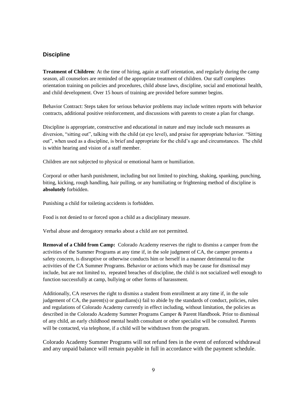## <span id="page-8-0"></span>**Discipline**

**Treatment of Children**: At the time of hiring, again at staff orientation, and regularly during the camp season, all counselors are reminded of the appropriate treatment of children. Our staff completes orientation training on policies and procedures, child abuse laws, discipline, social and emotional health, and child development. Over 15 hours of training are provided before summer begins.

Behavior Contract: Steps taken for serious behavior problems may include written reports with behavior contracts, additional positive reinforcement, and discussions with parents to create a plan for change.

Discipline is appropriate, constructive and educational in nature and may include such measures as diversion, "sitting out", talking with the child (at eye level), and praise for appropriate behavior. "Sitting out", when used as a discipline, is brief and appropriate for the child's age and circumstances. The child is within hearing and vision of a staff member.

Children are not subjected to physical or emotional harm or humiliation.

Corporal or other harsh punishment, including but not limited to pinching, shaking, spanking, punching, biting, kicking, rough handling, hair pulling, or any humiliating or frightening method of discipline is **absolutely** forbidden.

Punishing a child for toileting accidents is forbidden.

Food is not denied to or forced upon a child as a disciplinary measure.

Verbal abuse and derogatory remarks about a child are not permitted.

**Removal of a Child from Camp:** Colorado Academy reserves the right to dismiss a camper from the activities of the Summer Programs at any time if, in the sole judgment of CA, the camper presents a safety concern, is disruptive or otherwise conducts him or herself in a manner detrimental to the activities of the CA Summer Programs. Behavior or actions which may be cause for dismissal may include, but are not limited to, repeated breaches of discipline, the child is not socialized well enough to function successfully at camp, bullying or other forms of harassment.

Additionally, CA reserves the right to dismiss a student from enrollment at any time if, in the sole judgement of CA, the parent(s) or guardians(s) fail to abide by the standards of conduct, policies, rules and regulations of Colorado Academy currently in effect including, without limitation, the policies as described in the Colorado Academy Summer Programs Camper & Parent Handbook. Prior to dismissal of any child, an early childhood mental health consultant or other specialist will be consulted. Parents will be contacted, via telephone, if a child will be withdrawn from the program.

Colorado Academy Summer Programs will not refund fees in the event of enforced withdrawal and any unpaid balance will remain payable in full in accordance with the payment schedule.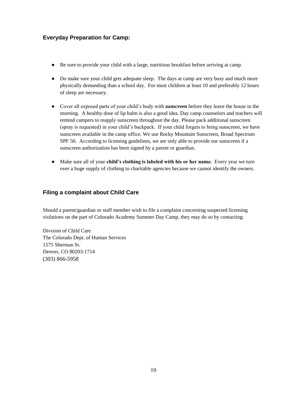## <span id="page-9-0"></span>**Everyday Preparation for Camp:**

- Be sure to provide your child with a large, nutritious breakfast before arriving at camp.
- Do make sure your child gets adequate sleep. The days at camp are very busy and much more physically demanding than a school day. For most children at least 10 and preferably 12 hours of sleep are necessary.
- Cover all exposed parts of your child's body with *sunscreen* before they leave the house in the morning. A healthy dose of lip balm is also a good idea. Day camp counselors and teachers will remind campers to reapply sunscreen throughout the day. Please pack additional sunscreen (spray is requested) in your child's backpack. If your child forgets to bring sunscreen, we have sunscreen available in the camp office. We use Rocky Mountain Sunscreen, Broad Spectrum SPF 50. According to licensing guidelines, we are only able to provide our sunscreen if a sunscreen authorization has been signed by a parent or guardian.
- Make sure all of your **child's clothing is labeled with his or her name.** Every year we turn over a huge supply of clothing to charitable agencies because we cannot identify the owners.

## <span id="page-9-1"></span>**Filing a complaint about Child Care**

Should a parent/guardian or staff member wish to file a complaint concerning suspected licensing violations on the part of Colorado Academy Summer Day Camp, they may do so by contacting:

Division of Child Care The Colorado Dept. of Human Services 1575 Sherman St. Denver, CO 80203-1714 (303) 866-5958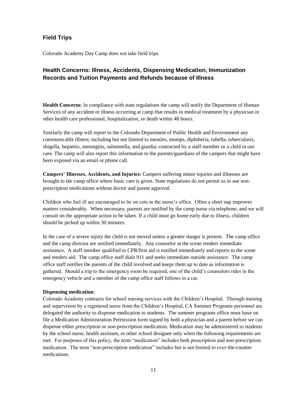## <span id="page-10-0"></span>**Field Trips**

<span id="page-10-1"></span>Colorado Academy Day Camp does not take field trips.

## <span id="page-10-2"></span>**Health Concerns: Illness, Accidents, Dispensing Medication, Immunization Records and Tuition Payments and Refunds because of Illness**

**Health Concerns**: In compliance with state regulations the camp will notify the Department of Human Services of any accident or illness occurring at camp that results in medical treatment by a physician or other health care professional, hospitalization, or death within 48 hours.

Similarly the camp will report to the Colorado Department of Public Health and Environment any communicable illness; including but not limited to measles, mumps, diphtheria, rubella, tuberculosis, shigella, hepatitis, meningitis, salmonella, and giardia; contracted by a staff member or a child in our care. The camp will also report this information to the parents/guardians of the campers that might have been exposed via an email or phone call.

**Campers' Illnesses, Accidents, and Injuries:** Campers suffering minor injuries and illnesses are brought to the camp office where basic care is given. State regulations do not permit us to use nonprescription medications without doctor and parent approval.

Children who feel ill are encouraged to lie on cots in the nurse's office. Often a short nap improves matters considerably. When necessary, parents are notified by the camp nurse via telephone, and we will consult on the appropriate action to be taken. If a child must go home early due to illness, children should be picked up within 30 minutes.

In the case of a severe injury the child is not moved unless a greater danger is present. The camp office and the camp director are notified immediately. Any counselor at the scene renders immediate assistance. A staff member qualified in CPR/first aid is notified immediately and reports to the scene and renders aid. The camp office staff dials 911 and seeks immediate outside assistance. The camp office staff notifies the parents of the child involved and keeps them up to date as information is gathered. Should a trip to the emergency room be required, one of the child's counselors rides in the emergency vehicle and a member of the camp office staff follows in a car.

#### **Dispensing medication**:

Colorado Academy contracts for school nursing services with the Children's Hospital. Through training and supervision by a registered nurse from the Children's Hospital, CA Summer Programs personnel are delegated the authority to dispense medication to students. The summer programs office must have on file a Medication Administration Permission form signed by both a physician and a parent before we can dispense either prescription or non-prescription medication. Medication may be administered to students by the school nurse, health assistant, or other school designee only when the following requirements are met. For purposes of this policy, the term "medication" includes both prescription and non-prescription medication. The term "non-prescription medication" includes but is not limited to over-the-counter medications.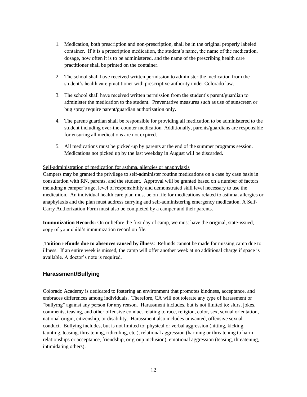- 1. Medication, both prescription and non-prescription, shall be in the original properly labeled container. If it is a prescription medication, the student's name, the name of the medication, dosage, how often it is to be administered, and the name of the prescribing health care practitioner shall be printed on the container.
- 2. The school shall have received written permission to administer the medication from the student's health care practitioner with prescriptive authority under Colorado law.
- 3. The school shall have received written permission from the student's parent/guardian to administer the medication to the student. Preventative measures such as use of sunscreen or bug spray require parent/guardian authorization only.
- 4. The parent/guardian shall be responsible for providing all medication to be administered to the student including over-the-counter medication. Additionally, parents/guardians are responsible for ensuring all medications are not expired.
- 5. All medications must be picked-up by parents at the end of the summer programs session. Medications not picked up by the last weekday in August will be discarded.

#### Self-administration of medication for asthma, allergies or anaphylaxis

Campers may be granted the privilege to self-administer routine medications on a case by case basis in consultation with RN, parents, and the student. Approval will be granted based on a number of factors including a camper's age, level of responsibility and demonstrated skill level necessary to use the medication. An individual health care plan must be on file for medications related to asthma, allergies or anaphylaxis and the plan must address carrying and self-administering emergency medication. A Self-Carry Authorization Form must also be completed by a camper and their parents.

**Immunization Records:** On or before the first day of camp, we must have the original, state-issued, copy of your child's immunization record on file.

**Tuition refunds due to absences caused by illness**: Refunds cannot be made for missing camp due to illness. If an entire week is missed, the camp will offer another week at no additional charge if space is available. A doctor's note is required.

#### <span id="page-11-0"></span>**Harassment/Bullying**

Colorado Academy is dedicated to fostering an environment that promotes kindness, acceptance, and embraces differences among individuals. Therefore, CA will not tolerate any type of harassment or "bullying" against any person for any reason. Harassment includes, but is not limited to: slurs, jokes, comments, teasing, and other offensive conduct relating to race, religion, color, sex, sexual orientation, national origin, citizenship, or disability. Harassment also includes unwanted, offensive sexual conduct. Bullying includes, but is not limited to: physical or verbal aggression (hitting, kicking, taunting, teasing, threatening, ridiculing, etc.), relational aggression (harming or threatening to harm relationships or acceptance, friendship, or group inclusion), emotional aggression (teasing, threatening, intimidating others).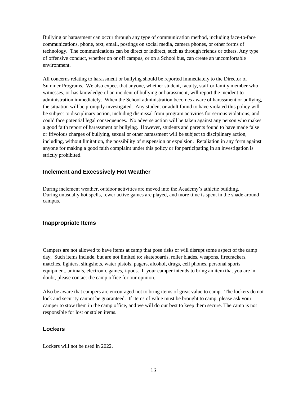Bullying or harassment can occur through any type of communication method, including face-to-face communications, phone, text, email, postings on social media, camera phones, or other forms of technology. The communications can be direct or indirect, such as through friends or others. Any type of offensive conduct, whether on or off campus, or on a School bus, can create an uncomfortable environment.

All concerns relating to harassment or bullying should be reported immediately to the Director of Summer Programs. We also expect that anyone, whether student, faculty, staff or family member who witnesses, or has knowledge of an incident of bullying or harassment, will report the incident to administration immediately. When the School administration becomes aware of harassment or bullying, the situation will be promptly investigated. Any student or adult found to have violated this policy will be subject to disciplinary action, including dismissal from program activities for serious violations, and could face potential legal consequences. No adverse action will be taken against any person who makes a good faith report of harassment or bullying. However, students and parents found to have made false or frivolous charges of bullying, sexual or other harassment will be subject to disciplinary action, including, without limitation, the possibility of suspension or expulsion. Retaliation in any form against anyone for making a good faith complaint under this policy or for participating in an investigation is strictly prohibited.

#### <span id="page-12-0"></span>**Inclement and Excessively Hot Weather**

During inclement weather, outdoor activities are moved into the Academy's athletic building. During unusually hot spells, fewer active games are played, and more time is spent in the shade around campus.

#### <span id="page-12-1"></span>**Inappropriate Items**

Campers are not allowed to have items at camp that pose risks or will disrupt some aspect of the camp day. Such items include, but are not limited to: skateboards, roller blades, weapons, firecrackers, matches, lighters, slingshots, water pistols, pagers, alcohol, drugs, cell phones, personal sports equipment, animals, electronic games, i-pods. If your camper intends to bring an item that you are in doubt, please contact the camp office for our opinion.

Also be aware that campers are encouraged not to bring items of great value to camp. The lockers do not lock and security cannot be guaranteed. If items of value must be brought to camp, please ask your camper to stow them in the camp office, and we will do our best to keep them secure. The camp is not responsible for lost or stolen items.

#### <span id="page-12-2"></span>**Lockers**

Lockers will not be used in 2022.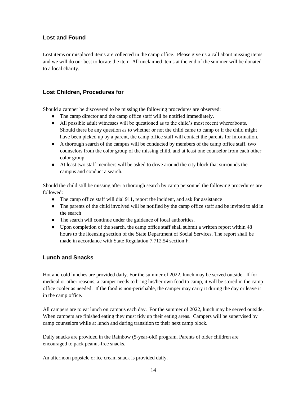## <span id="page-13-0"></span>**Lost and Found**

Lost items or misplaced items are collected in the camp office. Please give us a call about missing items and we will do our best to locate the item. All unclaimed items at the end of the summer will be donated to a local charity.

## <span id="page-13-1"></span>**Lost Children, Procedures for**

Should a camper be discovered to be missing the following procedures are observed:

- The camp director and the camp office staff will be notified immediately.
- All possible adult witnesses will be questioned as to the child's most recent whereabouts. Should there be any question as to whether or not the child came to camp or if the child might have been picked up by a parent, the camp office staff will contact the parents for information.
- A thorough search of the campus will be conducted by members of the camp office staff, two counselors from the color group of the missing child, and at least one counselor from each other color group.
- At least two staff members will be asked to drive around the city block that surrounds the campus and conduct a search.

Should the child still be missing after a thorough search by camp personnel the following procedures are followed:

- The camp office staff will dial 911, report the incident, and ask for assistance
- The parents of the child involved will be notified by the camp office staff and be invited to aid in the search
- The search will continue under the guidance of local authorities.
- Upon completion of the search, the camp office staff shall submit a written report within 48 hours to the licensing section of the State Department of Social Services. The report shall be made in accordance with State Regulation 7.712.54 section F.

#### <span id="page-13-2"></span>**Lunch and Snacks**

Hot and cold lunches are provided daily. For the summer of 2022, lunch may be served outside. If for medical or other reasons, a camper needs to bring his/her own food to camp, it will be stored in the camp office cooler as needed. If the food is non-perishable, the camper may carry it during the day or leave it in the camp office.

All campers are to eat lunch on campus each day. For the summer of 2022, lunch may be served outside. When campers are finished eating they must tidy up their eating areas. Campers will be supervised by camp counselors while at lunch and during transition to their next camp block.

Daily snacks are provided in the Rainbow (5-year-old) program. Parents of older children are encouraged to pack peanut-free snacks.

An afternoon popsicle or ice cream snack is provided daily.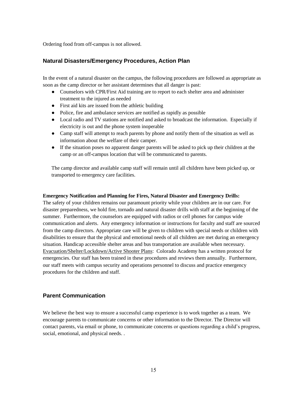<span id="page-14-0"></span>Ordering food from off-campus is not allowed.

### **Natural Disasters/Emergency Procedures, Action Plan**

In the event of a natural disaster on the campus, the following procedures are followed as appropriate as soon as the camp director or her assistant determines that all danger is past:

- Counselors with CPR/First Aid training are to report to each shelter area and administer treatment to the injured as needed
- First aid kits are issued from the athletic building
- Police, fire and ambulance services are notified as rapidly as possible
- Local radio and TV stations are notified and asked to broadcast the information. Especially if electricity is out and the phone system inoperable
- Camp staff will attempt to reach parents by phone and notify them of the situation as well as information about the welfare of their camper.
- If the situation poses no apparent danger parents will be asked to pick up their children at the camp or an off-campus location that will be communicated to parents.

The camp director and available camp staff will remain until all children have been picked up, or transported to emergency care facilities.

#### **Emergency Notification and Planning for Fires, Natural Disaster and Emergency Drills:**

The safety of your children remains our paramount priority while your children are in our care. For disaster preparedness, we hold fire, tornado and natural disaster drills with staff at the beginning of the summer. Furthermore, the counselors are equipped with radios or cell phones for campus wide communication and alerts. Any emergency information or instructions for faculty and staff are sourced from the camp directors. Appropriate care will be given to children with special needs or children with disabilities to ensure that the physical and emotional needs of all children are met during an emergency situation. Handicap accessible shelter areas and bus transportation are available when necessary. Evacuation/Shelter/Lockdown/Active Shooter Plans: Colorado Academy has a written protocol for emergencies. Our staff has been trained in these procedures and reviews them annually. Furthermore, our staff meets with campus security and operations personnel to discuss and practice emergency procedures for the children and staff.

#### <span id="page-14-1"></span>**Parent Communication**

We believe the best way to ensure a successful camp experience is to work together as a team. We encourage parents to communicate concerns or other information to the Director. The Director will contact parents, via email or phone, to communicate concerns or questions regarding a child's progress, social, emotional, and physical needs. .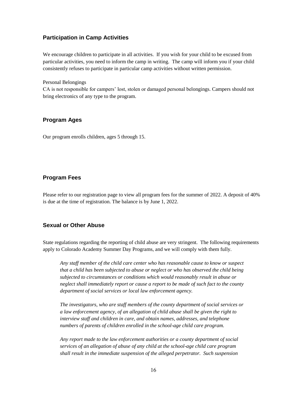#### <span id="page-15-0"></span>**Participation in Camp Activities**

We encourage children to participate in all activities. If you wish for your child to be excused from particular activities, you need to inform the camp in writing. The camp will inform you if your child consistently refuses to participate in particular camp activities without written permission.

Personal Belongings

CA is not responsible for campers' lost, stolen or damaged personal belongings. Campers should not bring electronics of any type to the program.

### <span id="page-15-1"></span>**Program Ages**

Our program enrolls children, ages 5 through 15.

### <span id="page-15-2"></span>**Program Fees**

Please refer to our registration page to view all program fees for the summer of 2022. A deposit of 40% is due at the time of registration. The balance is by June 1, 2022.

#### <span id="page-15-3"></span>**Sexual or Other Abuse**

State regulations regarding the reporting of child abuse are very stringent. The following requirements apply to Colorado Academy Summer Day Programs, and we will comply with them fully.

*Any staff member of the child care center who has reasonable cause to know or suspect that a child has been subjected to abuse or neglect or who has observed the child being subjected to circumstances or conditions which would reasonably result in abuse or neglect shall immediately report or cause a report to be made of such fact to the county department of social services or local law enforcement agency.*

*The investigators, who are staff members of the county department of social services or a law enforcement agency, of an allegation of child abuse shall be given the right to interview staff and children in care, and obtain names, addresses, and telephone numbers of parents of children enrolled in the school-age child care program.*

*Any report made to the law enforcement authorities or a county department of social services of an allegation of abuse of any child at the school-age child care program shall result in the immediate suspension of the alleged perpetrator. Such suspension*